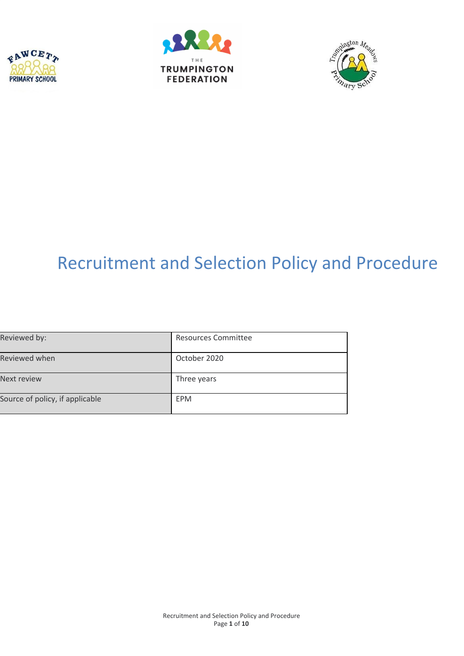





# Recruitment and Selection Policy and Procedure

| Reviewed by:                    | <b>Resources Committee</b> |
|---------------------------------|----------------------------|
| Reviewed when                   | October 2020               |
| Next review                     | Three years                |
| Source of policy, if applicable | EPM                        |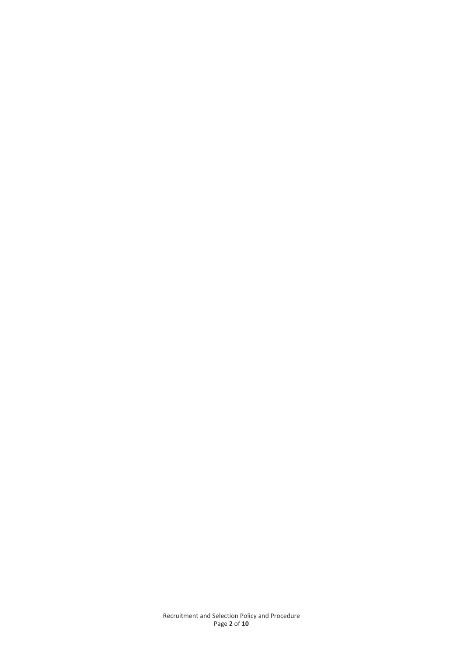Recruitment and Selection Policy and Procedure Page **2** of **10**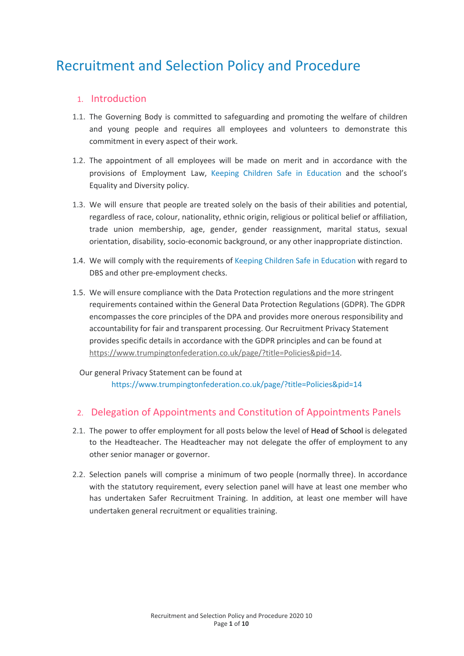# Recruitment and Selection Policy and Procedure

### 1. Introduction

- 1.1. The Governing Body is committed to safeguarding and promoting the welfare of children and young people and requires all employees and volunteers to demonstrate this commitment in every aspect of their work.
- 1.2. The appointment of all employees will be made on merit and in accordance with the provisions of Employment Law, Keeping Children Safe in [Education](https://www.gov.uk/government/uploads/system/uploads/attachment_data/file/550511/Keeping_children_safe_in_education.pdf) and the school's Equality and Diversity policy.
- 1.3. We will ensure that people are treated solely on the basis of their abilities and potential, regardless of race, colour, nationality, ethnic origin, religious or political belief or affiliation, trade union membership, age, gender, gender reassignment, marital status, sexual orientation, disability, socio-economic background, or any other inappropriate distinction.
- 1.4. We will comply with the requirements of Keeping Children Safe in [Education](https://www.gov.uk/government/uploads/system/uploads/attachment_data/file/550511/Keeping_children_safe_in_education.pdf) with regard to DBS and other pre-employment checks.
- 1.5. We will ensure compliance with the Data Protection regulations and the more stringent requirements contained within the General Data Protection Regulations (GDPR). The GDPR encompasses the core principles of the DPA and provides more onerous responsibility and accountability for fair and transparent processing. Our Recruitment Privacy Statement provides specific details in accordance with the GDPR principles and can be found at [https://www.trumpingtonfederation.co.uk/page/?title=Policies&pid=14.](https://www.trumpingtonfederation.co.uk/page/?title=Policies&pid=14)

Our general Privacy Statement can be found at https://www.trumpingtonfederation.co.uk/page/?title=Policies&pid=14

# 2. Delegation of Appointments and Constitution of Appointments Panels

- 2.1. The power to offer employment for all posts below the level of Head of School is delegated to the Headteacher. The Headteacher may not delegate the offer of employment to any other senior manager or governor.
- 2.2. Selection panels will comprise a minimum of two people (normally three). In accordance with the statutory requirement, every selection panel will have at least one member who has undertaken Safer Recruitment Training. In addition, at least one member will have undertaken general recruitment or equalities training.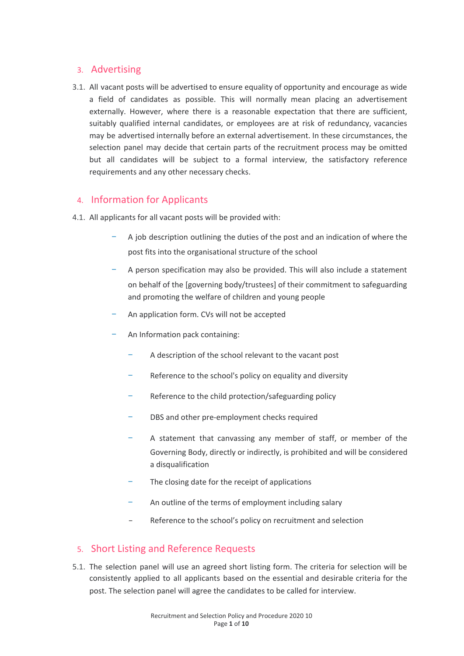# 3. Advertising

3.1. All vacant posts will be advertised to ensure equality of opportunity and encourage as wide a field of candidates as possible. This will normally mean placing an advertisement externally. However, where there is a reasonable expectation that there are sufficient, suitably qualified internal candidates, or employees are at risk of redundancy, vacancies may be advertised internally before an external advertisement. In these circumstances, the selection panel may decide that certain parts of the recruitment process may be omitted but all candidates will be subject to a formal interview, the satisfactory reference requirements and any other necessary checks.

# 4. Information for Applicants

- 4.1. All applicants for all vacant posts will be provided with:
	- A job description outlining the duties of the post and an indication of where the post fits into the organisational structure of the school
	- − A person specification may also be provided. This will also include a statement on behalf of the [governing body/trustees] of their commitment to safeguarding and promoting the welfare of children and young people
	- An application form. CVs will not be accepted
	- − An Information pack containing:
		- − A description of the school relevant to the vacant post
		- Reference to the school's policy on equality and diversity
		- Reference to the child protection/safeguarding policy
		- DBS and other pre-employment checks required
		- A statement that canvassing any member of staff, or member of the Governing Body, directly or indirectly, is prohibited and will be considered a disqualification
		- The closing date for the receipt of applications
		- An outline of the terms of employment including salary
		- Reference to the school's policy on recruitment and selection

# 5. Short Listing and Reference Requests

5.1. The selection panel will use an agreed short listing form. The criteria for selection will be consistently applied to all applicants based on the essential and desirable criteria for the post. The selection panel will agree the candidates to be called for interview.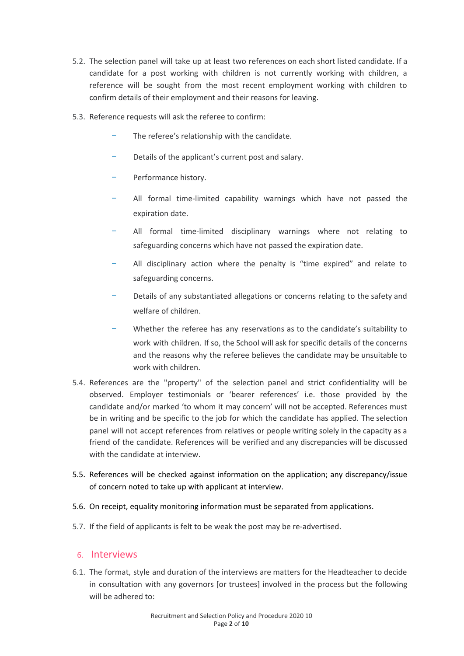- 5.2. The selection panel will take up at least two references on each short listed candidate. If a candidate for a post working with children is not currently working with children, a reference will be sought from the most recent employment working with children to confirm details of their employment and their reasons for leaving.
- 5.3. Reference requests will ask the referee to confirm:
	- The referee's relationship with the candidate.
	- Details of the applicant's current post and salary.
	- − Performance history.
	- − All formal time-limited capability warnings which have not passed the expiration date.
	- − All formal time-limited disciplinary warnings where not relating to safeguarding concerns which have not passed the expiration date.
	- All disciplinary action where the penalty is "time expired" and relate to safeguarding concerns.
	- Details of any substantiated allegations or concerns relating to the safety and welfare of children.
	- Whether the referee has any reservations as to the candidate's suitability to work with children. If so, the School will ask for specific details of the concerns and the reasons why the referee believes the candidate may be unsuitable to work with children.
- 5.4. References are the "property" of the selection panel and strict confidentiality will be observed. Employer testimonials or 'bearer references' i.e. those provided by the candidate and/or marked 'to whom it may concern' will not be accepted. References must be in writing and be specific to the job for which the candidate has applied. The selection panel will not accept references from relatives or people writing solely in the capacity as a friend of the candidate. References will be verified and any discrepancies will be discussed with the candidate at interview.
- 5.5. References will be checked against information on the application; any discrepancy/issue of concern noted to take up with applicant at interview.
- 5.6. On receipt, equality monitoring information must be separated from applications.
- 5.7. If the field of applicants is felt to be weak the post may be re-advertised.

#### 6. Interviews

6.1. The format, style and duration of the interviews are matters for the Headteacher to decide in consultation with any governors [or trustees] involved in the process but the following will be adhered to: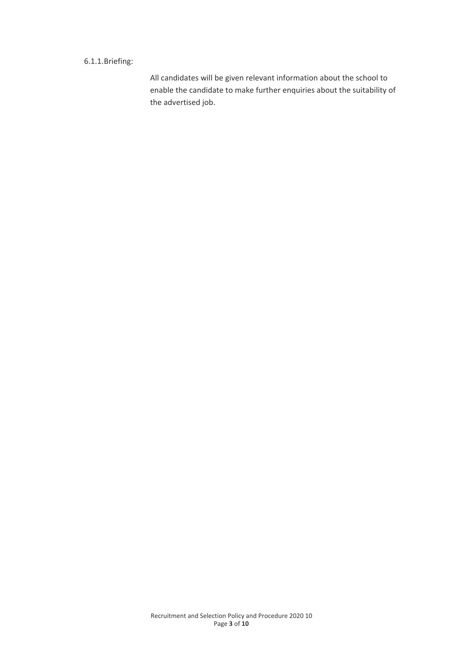#### 6.1.1.Briefing:

All candidates will be given relevant information about the school to enable the candidate to make further enquiries about the suitability of the advertised job.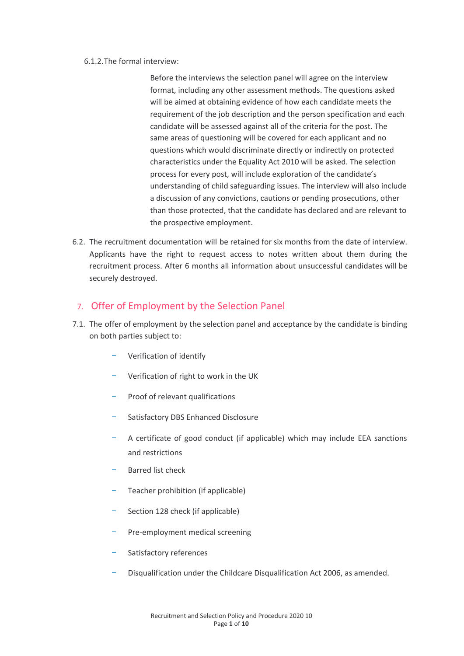#### 6.1.2.The formal interview:

Before the interviews the selection panel will agree on the interview format, including any other assessment methods. The questions asked will be aimed at obtaining evidence of how each candidate meets the requirement of the job description and the person specification and each candidate will be assessed against all of the criteria for the post. The same areas of questioning will be covered for each applicant and no questions which would discriminate directly or indirectly on protected characteristics under the Equality Act 2010 will be asked. The selection process for every post, will include exploration of the candidate's understanding of child safeguarding issues. The interview will also include a discussion of any convictions, cautions or pending prosecutions, other than those protected, that the candidate has declared and are relevant to the prospective employment.

6.2. The recruitment documentation will be retained for six months from the date of interview. Applicants have the right to request access to notes written about them during the recruitment process. After 6 months all information about unsuccessful candidates will be securely destroyed.

# 7. Offer of Employment by the Selection Panel

- 7.1. The offer of employment by the selection panel and acceptance by the candidate is binding on both parties subject to:
	- − Verification of identify
	- − Verification of right to work in the UK
	- − Proof of relevant qualifications
	- − Satisfactory DBS Enhanced Disclosure
	- − A certificate of good conduct (if applicable) which may include EEA sanctions and restrictions
	- − Barred list check
	- Teacher prohibition (if applicable)
	- − Section 128 check (if applicable)
	- Pre-employment medical screening
	- − Satisfactory references
	- − Disqualification under the Childcare Disqualification Act 2006, as amended.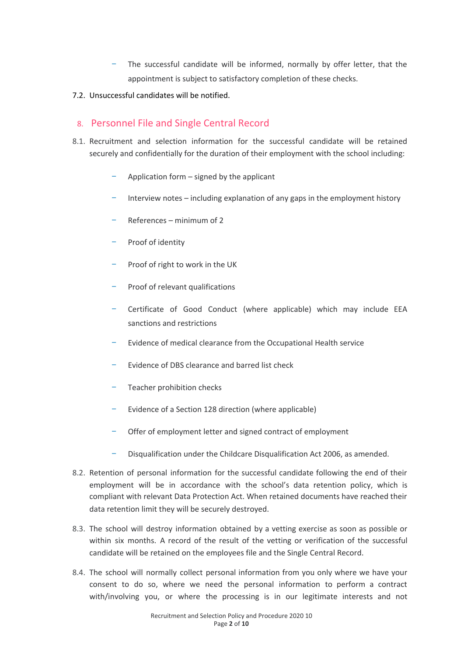- The successful candidate will be informed, normally by offer letter, that the appointment is subject to satisfactory completion of these checks.
- 7.2. Unsuccessful candidates will be notified.

# 8. Personnel File and Single Central Record

- 8.1. Recruitment and selection information for the successful candidate will be retained securely and confidentially for the duration of their employment with the school including:
	- − Application form signed by the applicant
	- − Interview notes including explanation of any gaps in the employment history
	- − References minimum of 2
	- Proof of identity
	- Proof of right to work in the UK
	- Proof of relevant qualifications
	- − Certificate of Good Conduct (where applicable) which may include EEA sanctions and restrictions
	- Evidence of medical clearance from the Occupational Health service
	- Evidence of DBS clearance and barred list check
	- Teacher prohibition checks
	- Evidence of a Section 128 direction (where applicable)
	- Offer of employment letter and signed contract of employment
	- − Disqualification under the Childcare Disqualification Act 2006, as amended.
- 8.2. Retention of personal information for the successful candidate following the end of their employment will be in accordance with the school's data retention policy, which is compliant with relevant Data Protection Act. When retained documents have reached their data retention limit they will be securely destroyed.
- 8.3. The school will destroy information obtained by a vetting exercise as soon as possible or within six months. A record of the result of the vetting or verification of the successful candidate will be retained on the employees file and the Single Central Record.
- 8.4. The school will normally collect personal information from you only where we have your consent to do so, where we need the personal information to perform a contract with/involving you, or where the processing is in our legitimate interests and not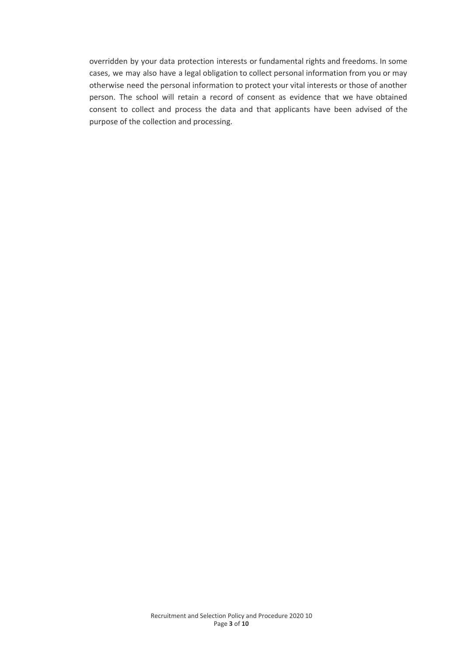overridden by your data protection interests or fundamental rights and freedoms. In some cases, we may also have a legal obligation to collect personal information from you or may otherwise need the personal information to protect your vital interests or those of another person. The school will retain a record of consent as evidence that we have obtained consent to collect and process the data and that applicants have been advised of the purpose of the collection and processing.